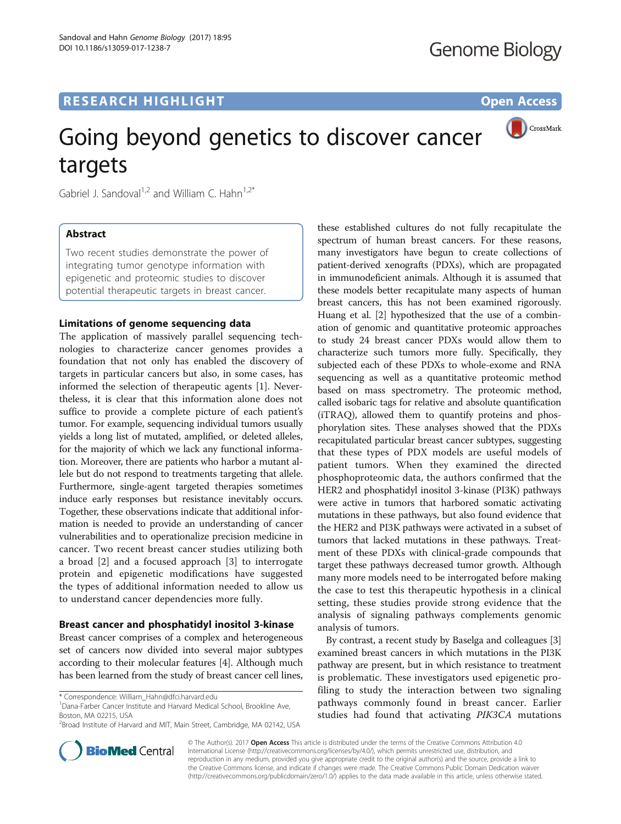## **RESEARCH HIGHLIGHT CONSUMING THE OPEN ACCESS**



# Going beyond genetics to discover cancer targets

Gabriel J. Sandoval<sup>1,2</sup> and William C. Hahn<sup>1,2\*</sup>

## Abstract

Two recent studies demonstrate the power of integrating tumor genotype information with epigenetic and proteomic studies to discover potential therapeutic targets in breast cancer.

## Limitations of genome sequencing data

The application of massively parallel sequencing technologies to characterize cancer genomes provides a foundation that not only has enabled the discovery of targets in particular cancers but also, in some cases, has informed the selection of therapeutic agents [[1\]](#page-2-0). Nevertheless, it is clear that this information alone does not suffice to provide a complete picture of each patient's tumor. For example, sequencing individual tumors usually yields a long list of mutated, amplified, or deleted alleles, for the majority of which we lack any functional information. Moreover, there are patients who harbor a mutant allele but do not respond to treatments targeting that allele. Furthermore, single-agent targeted therapies sometimes induce early responses but resistance inevitably occurs. Together, these observations indicate that additional information is needed to provide an understanding of cancer vulnerabilities and to operationalize precision medicine in cancer. Two recent breast cancer studies utilizing both a broad [[2\]](#page-2-0) and a focused approach [[3\]](#page-2-0) to interrogate protein and epigenetic modifications have suggested the types of additional information needed to allow us to understand cancer dependencies more fully.

## Breast cancer and phosphatidyl inositol 3-kinase

Breast cancer comprises of a complex and heterogeneous set of cancers now divided into several major subtypes according to their molecular features [\[4](#page-2-0)]. Although much has been learned from the study of breast cancer cell lines,

<sup>1</sup>Dana-Farber Cancer Institute and Harvard Medical School, Brookline Ave, Boston, MA 02215, USA



these established cultures do not fully recapitulate the spectrum of human breast cancers. For these reasons,

By contrast, a recent study by Baselga and colleagues [[3](#page-2-0)] examined breast cancers in which mutations in the PI3K pathway are present, but in which resistance to treatment is problematic. These investigators used epigenetic profiling to study the interaction between two signaling pathways commonly found in breast cancer. Earlier studies had found that activating PIK3CA mutations



© The Author(s). 2017 **Open Access** This article is distributed under the terms of the Creative Commons Attribution 4.0 International License [\(http://creativecommons.org/licenses/by/4.0/](http://creativecommons.org/licenses/by/4.0/)), which permits unrestricted use, distribution, and reproduction in any medium, provided you give appropriate credit to the original author(s) and the source, provide a link to the Creative Commons license, and indicate if changes were made. The Creative Commons Public Domain Dedication waiver [\(http://creativecommons.org/publicdomain/zero/1.0/](http://creativecommons.org/publicdomain/zero/1.0/)) applies to the data made available in this article, unless otherwise stated.

<sup>\*</sup> Correspondence: [William\\_Hahn@dfci.harvard.edu](mailto:William_Hahn@dfci.harvard.edu) <sup>1</sup>

<sup>&</sup>lt;sup>2</sup> Broad Institute of Harvard and MIT, Main Street, Cambridge, MA 02142, USA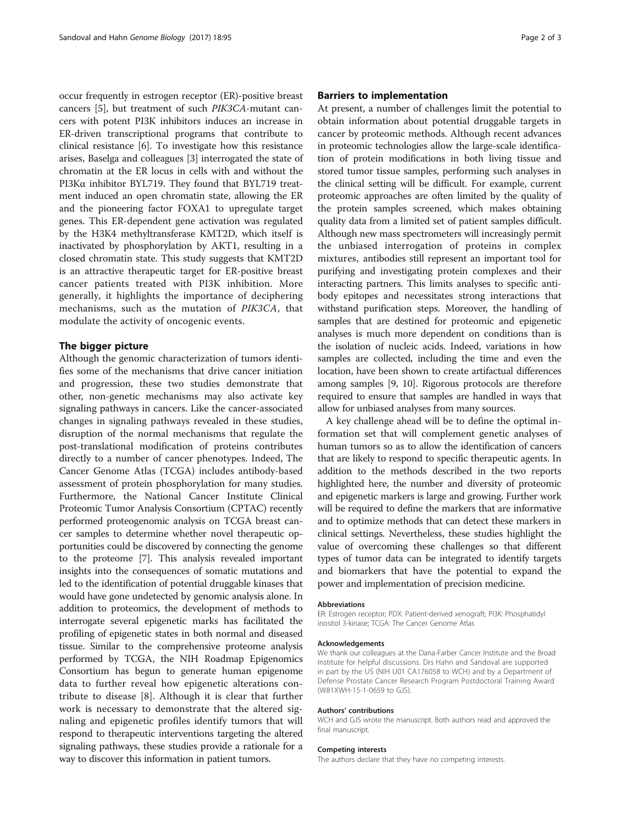occur frequently in estrogen receptor (ER)-positive breast cancers [[5\]](#page-2-0), but treatment of such PIK3CA-mutant cancers with potent PI3K inhibitors induces an increase in ER-driven transcriptional programs that contribute to clinical resistance [[6](#page-2-0)]. To investigate how this resistance arises, Baselga and colleagues [\[3](#page-2-0)] interrogated the state of chromatin at the ER locus in cells with and without the PI3Kα inhibitor BYL719. They found that BYL719 treatment induced an open chromatin state, allowing the ER and the pioneering factor FOXA1 to upregulate target genes. This ER-dependent gene activation was regulated by the H3K4 methyltransferase KMT2D, which itself is inactivated by phosphorylation by AKT1, resulting in a closed chromatin state. This study suggests that KMT2D is an attractive therapeutic target for ER-positive breast cancer patients treated with PI3K inhibition. More generally, it highlights the importance of deciphering mechanisms, such as the mutation of PIK3CA, that modulate the activity of oncogenic events.

## The bigger picture

Although the genomic characterization of tumors identifies some of the mechanisms that drive cancer initiation and progression, these two studies demonstrate that other, non-genetic mechanisms may also activate key signaling pathways in cancers. Like the cancer-associated changes in signaling pathways revealed in these studies, disruption of the normal mechanisms that regulate the post-translational modification of proteins contributes directly to a number of cancer phenotypes. Indeed, The Cancer Genome Atlas (TCGA) includes antibody-based assessment of protein phosphorylation for many studies. Furthermore, the National Cancer Institute Clinical Proteomic Tumor Analysis Consortium (CPTAC) recently performed proteogenomic analysis on TCGA breast cancer samples to determine whether novel therapeutic opportunities could be discovered by connecting the genome to the proteome [\[7](#page-2-0)]. This analysis revealed important insights into the consequences of somatic mutations and led to the identification of potential druggable kinases that would have gone undetected by genomic analysis alone. In addition to proteomics, the development of methods to interrogate several epigenetic marks has facilitated the profiling of epigenetic states in both normal and diseased tissue. Similar to the comprehensive proteome analysis performed by TCGA, the NIH Roadmap Epigenomics Consortium has begun to generate human epigenome data to further reveal how epigenetic alterations contribute to disease [\[8](#page-2-0)]. Although it is clear that further work is necessary to demonstrate that the altered signaling and epigenetic profiles identify tumors that will respond to therapeutic interventions targeting the altered signaling pathways, these studies provide a rationale for a way to discover this information in patient tumors.

## Barriers to implementation

At present, a number of challenges limit the potential to obtain information about potential druggable targets in cancer by proteomic methods. Although recent advances in proteomic technologies allow the large-scale identification of protein modifications in both living tissue and stored tumor tissue samples, performing such analyses in the clinical setting will be difficult. For example, current proteomic approaches are often limited by the quality of the protein samples screened, which makes obtaining quality data from a limited set of patient samples difficult. Although new mass spectrometers will increasingly permit the unbiased interrogation of proteins in complex mixtures, antibodies still represent an important tool for purifying and investigating protein complexes and their interacting partners. This limits analyses to specific antibody epitopes and necessitates strong interactions that withstand purification steps. Moreover, the handling of samples that are destined for proteomic and epigenetic analyses is much more dependent on conditions than is the isolation of nucleic acids. Indeed, variations in how samples are collected, including the time and even the location, have been shown to create artifactual differences among samples [\[9, 10\]](#page-2-0). Rigorous protocols are therefore required to ensure that samples are handled in ways that allow for unbiased analyses from many sources.

A key challenge ahead will be to define the optimal information set that will complement genetic analyses of human tumors so as to allow the identification of cancers that are likely to respond to specific therapeutic agents. In addition to the methods described in the two reports highlighted here, the number and diversity of proteomic and epigenetic markers is large and growing. Further work will be required to define the markers that are informative and to optimize methods that can detect these markers in clinical settings. Nevertheless, these studies highlight the value of overcoming these challenges so that different types of tumor data can be integrated to identify targets and biomarkers that have the potential to expand the power and implementation of precision medicine.

#### Abbreviations

ER: Estrogen receptor; PDX: Patient-derived xenograft; PI3K: Phosphatidyl inositol 3-kinase; TCGA: The Cancer Genome Atlas

#### Acknowledgements

We thank our colleagues at the Dana-Farber Cancer Institute and the Broad Institute for helpful discussions. Drs Hahn and Sandoval are supported in part by the US (NIH U01 CA176058 to WCH) and by a Department of Defense Prostate Cancer Research Program Postdoctoral Training Award (W81XWH-15-1-0659 to GJS).

#### Authors' contributions

WCH and GJS wrote the manuscript. Both authors read and approved the final manuscript.

#### Competing interests

The authors declare that they have no competing interests.